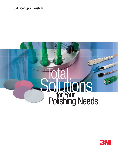3M Fiber Optic Polishing



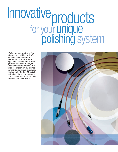# for your Innovative unique products polishing system

3M offers complete solutions for fiber optic connector polishing – with a full line of high performance precision abrasives, backed by the technical support of our experienced fiber optics specialists. We're ready to help you generate the finish you need on a wide variety of connectors. We can optimize your polishing operation to produce costeffective results. Call the 3M Fiber Optic Applications Laboratory today to learn more: 866-866-0922. Or visit us on the web: www.3M.com/electronics

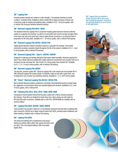#### **3M**™ **Lapping Film**

Precisely graded minerals are coated on a high strength, 3 mil polyester backing to provide a uniform, consistent finish. Available in silicon carbide film for glass and epoxy removal, and in aluminum oxide for leveling and polishing steps. Available in 0.05 - 30 micron grades, with or without PSA (Pressure Sensitive Adhesive) backing.

#### **3M**™ **Diamond Lapping Film 661X / 668X**

This standard Diamond Lapping Film is comprised of tightly graded diamond minerals uniformly coated on a polyester film backing. It is able to cut and polish hard ceramic ferrules and glass fibers at the same rate and to the same level. Used to radius ferrule connectors or to refine the finish in preparation for the final polish. Available in 0.1 - 30 micron grades, with or without PSA backing.

#### **3M**™ **Diamond Lapping Film 661XU / 661XU-PSA**

Tightly graded diamond mineral is precision coated on a polyester film backing. This durable construction provides consistent results throughout the life of the product. Available in 0.5, 1, 3 and 6 micron grades, with or without PSA backing.

#### **3M**™ **Diamond Lapping Film - Type H - 662XW / 666XW**

Designed for radiusing and leveling operations that require added durability. Diamond Lapping Film - Type H has a thicker diamond coating with a higher diamond concentration and a tougher resin for an increased cut rate and longer life. Type H lasts 2 to 3 times longer than standard DLF. Available in 0.5, 1, 1.5, 3, 6 and 9 micron grades, with or without PSA backing.

#### **3M**™ **Diamond Lapping Film 660XV**

This long life, precision coated 3M™ Diamond Lapping Film is the newest and most durable film in 3M's Diamond Lapping Film product family. It combines a high cut rate with a great finish, and is designed for use on slower rpm polishing machines. Available in 1, 3, 6, and 9 micron grades.

#### **3M**™ **Trizact**™ **Diamond Lapping Film 661XA / 661XA-PSA**

Micron graded diamond particles contained in a precisely microreplicated structure provide longer life, aggressive cut and superior finish over standard lapping film products. Available in 0.5, 2 and 9 micron grades, with or without PSA.

#### **3M**™ **Polishing Film 291X, 491X, 591X / 298X, 498X, 598X**

Comprised of micron graded mineral that has been coated onto a fibrous (flocked) polyester film backing. These films are designed to break down into a slurry during use with water for MT-style fiber optic connectors. Available plain or with PSA. (961M/968M are available with no mineral coating.)

#### **3M**™ **Lapping Film 863X, 863XW / 869X, 869XW**

These products are precision coated on a 3 mil polyester backing for the final step in polishing fiber optic connectors. 863XW has a higher mineral content than 863X, providing easier breakdown and faster polishing. Available with or without PSA backing.

#### **3M**™ **Lapping Film 865X**

This advanced polishing film is engineered to last longer – helping you achieve higher yields, less rework and lower costs per parts. This is the longest lasting of 3M's final polish lapping films.

3M™ Lapping Films are available in sheets, discs and rolls for use on any type of polishing equipment. These films are especially designed for use in factory or field applications.

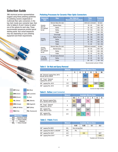# **Selection Guide**

3M's technical service representatives suggest using these polishing guidelines for polishing ceramic singlemode or multimode fiber optic connectors. In the top chart, locate your connector type, then refer to tables A, B and C below to select one of the options for each step. These recommended sequences provide typical starting points. Your actual sequences may vary depending on your polishing equipment and finish requirements.



| <b>GRY</b> (Gray)      | <b>BLU</b> (Blue)        |
|------------------------|--------------------------|
| <b>GRN</b> (Green)     | <b>LAV</b> (Lavender)    |
| <b>BRN</b> (Brown)     | <b>TL</b> (Teal)         |
| <b>YEL</b> (Yellow)    | <b>MNL</b> (Manila)      |
| <b>ORN</b> (Orange)    | <b>EGS</b> (Eggshell)    |
| <b>OFW</b> (Off-White) | <b>WHT</b> (White)       |
| <b>PNK</b> (Pink)      | <b>TRL</b> (Translucent) |
|                        |                          |

| <b>Mineral Key</b> |                        |  |  |  |  |
|--------------------|------------------------|--|--|--|--|
| A/0                | Aluminum Oxide         |  |  |  |  |
| S/C                | <b>Silicon Carbide</b> |  |  |  |  |
| n                  | Diamond                |  |  |  |  |
| SiO.               | <b>Silicon Dioxide</b> |  |  |  |  |

#### **Polishing Processes for Ceramic Fiber Optic Connectors**

| <b>Connector</b><br><b>Type</b> | <b>Step</b>           | <b>See Table for</b><br><b>Recommended Products</b> | Time<br>(sec.)       | <b>Pressure</b><br>(g/conn) |
|---------------------------------|-----------------------|-----------------------------------------------------|----------------------|-----------------------------|
|                                 | Remove Glass (De-nub) | A                                                   | Until nub is removed | By hand                     |
| Ceramic,                        | Remove Epoxy          | A                                                   | $30 - 60$            | $200 - 350$                 |
| Ultra PC,<br>Pre-radiused       | Refine                | B                                                   | $30 - 120$           | $200 - 350$                 |
| ferrule                         | Refine                | B                                                   | $30 - 120$           | $200 - 350$                 |
|                                 | Polish                | C                                                   | $15 - 45$            | $150 - 250$                 |
|                                 | <b>Grind Angle</b>    | A                                                   | $40 - 120$           | $200 - 350$                 |
|                                 | <b>Radius Ferrule</b> | B                                                   | $60 - 180$           | $200 - 350$                 |
| Ceramic,<br>Angle PC            | Refine                | B                                                   | $30 - 120$           | $200 - 350$                 |
|                                 | Refine                | B                                                   | $30 - 120$           | $200 - 350$                 |
|                                 | Polish                | C                                                   | $15 - 60$            | $150 - 250$                 |
|                                 | Remove Glass (De-nub) | A                                                   | Until nub is removed | By hand                     |
| Ceramic,<br>Super PC,           | Remove Epoxy          | A                                                   | $30 - 60$            | $200 - 350$                 |
| Pre-radiused                    | Refine                | B                                                   | $30 - 120$           | $200 - 350$                 |
| ferrule                         | Polish                | C                                                   | $15 - 45$            | $150 - 250$                 |
| $1.25$ mm                       | De-nub-Epoxy Removal  | A                                                   | $30 - 60$            | $75 - 125$                  |
| LC and MU                       | Refine                | B                                                   | $30 - 60$            | $100 - 150$                 |
| Connectors                      | Polish                | C                                                   | $90 - 120$           | $100 - 150$                 |

Recommended Lubricant: DI Water

#### **Table A - De-Nub and Epoxy Removal**

|                                                         | <b>Mineral</b> | <b>Available Micron Sizes</b> |   |            |            |         |            |
|---------------------------------------------------------|----------------|-------------------------------|---|------------|------------|---------|------------|
|                                                         |                | 5                             | 6 | 9          | 12         | 15      | 30         |
| 3M™ Diamond Lapping Films, 661X,<br>662XW, 661XU, 660XV |                |                               |   | <b>BLU</b> |            | ORN*    |            |
| 3M™ Trizact™ Diamond<br>Lapping Film, 661XA             | D              |                               |   | GRY        |            |         |            |
| 3M™ Lapping Film, 461X                                  | S/C            | GRY                           |   | GRY        |            | $GRY^*$ | GRN*       |
| 3M™ Lapping Film, 261X                                  | A/O            | <b>BRN</b>                    |   | <b>BLU</b> | <b>YEL</b> |         | <b>GRN</b> |

\*Common for Angle Grinding

### **Table B - Refine** (Level Connector)

|                                                         | <b>Mineral</b> |            | <b>Available Micron Sizes</b> |     |            |   |            |   |
|---------------------------------------------------------|----------------|------------|-------------------------------|-----|------------|---|------------|---|
|                                                         |                | 0.5        |                               | 2   | 3          | 4 | 6          | 9 |
| 3M™ Diamond Lapping Films,<br>661X, 662XW, 661XU, 660XV | D              | <b>MNL</b> | LAV                           |     | <b>PNK</b> |   | <b>BRN</b> |   |
| 3M™ Trizact™ Diamond<br>Lapping Film, 661XA             | D              | <b>GRY</b> |                               | GRY |            |   |            |   |
| 3M™ Lapping Film,<br>462X. 463X or 452X                 | S/C            |            | <b>GRY</b>                    |     | GRY        |   |            |   |
| 3M™ Lapping Film,<br>261X, 262X or 263X                 | A/O            |            | <b>GRN</b>                    | TL  | <b>PNK</b> |   |            |   |

#### **Table C - Polish** (Finish)

|                                  | <b>Mineral</b>   | <b>Available Micron Sizes</b> |            |     |            |  |
|----------------------------------|------------------|-------------------------------|------------|-----|------------|--|
|                                  |                  | 0.02                          | 0.05       | 0.1 | 0.3        |  |
| 3M™ Lapping Film 865X            | Si <sub>0</sub>  | Size not specified.           |            |     |            |  |
| 3M™ Lapping Film 863X* or 863XW* | SiO <sub>2</sub> | <b>TRL</b>                    |            |     |            |  |
| 3M™ Lapping Film 263X*           | A/O              |                               | <b>EGS</b> |     | <b>WHT</b> |  |
| 3M™ Lapping Films 261X*          | A/O              |                               |            |     | <b>OFW</b> |  |

\*Available with PSA Backing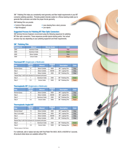3M™ Polishing Film helps you consistently meet geometry and fiber height requirements in your MT connector polishing operation. Precisely graded minerals coated on a fibrous backing enable you to generate fiber protrusion and attain the proper ferrule geometry.

3M Polishing Film can provide:

- Control of fiber protrusion Less cleaning than a slurry process
	-
- High throughput Low rejects
- 

#### **Suggested Process for Polishing MT Fiber Optic Connectors**

3M Technical Service Engineers recommend using the following sequences for polishing MT fiber optic connectors. These sequences provide typical starting points. Your actual process may vary depending on your polishing equipment and finish requirements.

#### **3M**™ **Polishing Film**

| <b>Product I.D.</b> | <b>Mineral</b>         | Micron Grade | Color |
|---------------------|------------------------|--------------|-------|
| 298X                | Aluminum Oxide         | 0.5          | Pink  |
| 298X                | Aluminum Oxide         |              | Green |
| 498X                | <b>Silicon Carbide</b> |              | Grav  |
| 598X                | Cerium Oxide           | 0.5          | Peach |

#### **Thermoset MT** (Singlemode or Multimode)

| <b>Step</b>                                                | <b>Micron</b><br>Grade | <b>Mineral</b>  | <b>Product</b><br>I.D. | <b>Description</b> | <b>Color</b> |
|------------------------------------------------------------|------------------------|-----------------|------------------------|--------------------|--------------|
| Remove Epoxy                                               | 15                     | Silicon Carbide | 468X                   | 3M™ Lapping Film   | Gray         |
| Step 2                                                     | 3                      | Silicon Carbide | 468XW                  | 3M™ Lapping Film   | Gray         |
| Step 3                                                     |                        | Silicon Carbide | 498X                   | 3M™ Polishing Film | Gray         |
| Repeat Step 3 with fresh abrasive for increased protrusion |                        |                 |                        |                    |              |
| Step 4                                                     |                        | Aluminum Oxide  | 298X                   | 3M™ Polishing Film | Green        |
| Step 5                                                     | 0.5                    | Cerium Oxide    | 598X                   | 3M™ Polishing Film | Peach        |

#### **Thermoplastic MT** (Singlemode or Multimode)

| <b>Step</b>  | <b>Micron</b><br>Grade | <b>Mineral</b>         | <b>Product</b><br>I.D. | <b>Description</b> | <b>Color</b> |
|--------------|------------------------|------------------------|------------------------|--------------------|--------------|
| Remove Epoxy | 15                     | <b>Silicon Carbide</b> | 468X                   | 3M™ Lapping Film   | Gray         |
| Step 2       |                        | <b>Silicon Carbide</b> | 468XW                  | 3M™ Lapping Film   | Gray         |
| Step 3       |                        | Aluminum Oxide         | 298X                   | 3M™ Polishing Film | Green        |
| Step 4       | $0.5\,$                | Cerium Oxide           | 598X                   | 3M™ Polishing Film | Peach        |

#### **Thermoplastic Angled MT**

| <b>Step</b>                                                | <b>Micron</b><br>Grade | <b>Mineral</b>  | <b>Product</b><br>I.D. | <b>Description</b>           | <b>Color</b> |
|------------------------------------------------------------|------------------------|-----------------|------------------------|------------------------------|--------------|
| Remove Epoxy*                                              | 15                     | Silicon Carbide | 468X                   | 3M <sup>™</sup> Lapping Film | Gray         |
| Step 2 (cut angle)                                         | 15                     | Silicon Carbide | 468X                   | 3M™ Lapping Film             | Gray         |
| Step 3                                                     | 3                      | Silicon Carbide | 468XW                  | 3M™ Lapping Film             | Gray         |
| Step 4                                                     | 3                      | Silicon Carbide | 498X                   | 3M™ Polishing Film           | Gray         |
| Repeat Step 4 with fresh abrasive for increased protrusion |                        |                 |                        |                              |              |
| Step 5                                                     |                        | Aluminum Oxide  | 298X                   | 3M™ Polishing Film           | Green        |
| Step 6                                                     | 0.5                    | Cerium Oxide    | 598X                   | 3M™ Polishing Film           | Peach        |

\*Remove epoxy in flat fixture

For multimode, add or replace last step with Final Polish Film 865X, 863X or 863XW for 5 seconds. All products listed above are available without PSA.

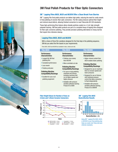

# **3M Final Polish Products for Fiber Optic Connectors**

#### **3M**™ **Lapping Films 865X, 863X and 863XW Offer a Clean Break From Slurries**

3M™ Lapping Film final polish products can deliver high yields, reducing the need for costly rework in final polishing of ceramic fiber optic connectors. The film easily produces optimal fiber height and minimal visual defects, allowing finished connectors to meet Telecordia GR-326 standards.

These high-performing films feature silicon dioxide particles coated on a 3 mil, high-strength polyester backing. 3M final polish products are part of a complete lineup of lapping films designed for fiber optic connector polishing. They provide precision polishing alternatives to messy slurries that require time-intensive cleanup.

#### **Lapping Films 865X, 863X and 863XW**

With a choice of three film variations designed for the final step in the polishing sequence, 3M lets you select the film based on your requirements.

Films 865X, 863X and 863XW are available in discs, sheets and rolls.

#### **Film 865X Performance Characteristics** • Longest life 3M final polishing film • Consistent performance • Less rework • Positive protrusion **Polishing Machine Compatibility/Backings** • Excellent for use on all polishing equipment **Film 863X Performance Characteristics** • Polishes more slowly than 863XW • More controlled cut rate **Polishing Machine Compatibility/Backings** • For use on most polishing machines and fixtures, including machines that run at higher speeds and higher pressure • Available with pressure **Film 863XW Performance Characteristics** • Higher mineral content than 863X enables faster polishing **Polishing Machine Compatibility/Backings** • Designed for use on machines that run at lower speeds and lower pressures • Designed for use on fixtures with individual pressure control that allow connectors to float independently

- sensitive adhesive backing Product ID is 869X
- Available with pressure sensitive adhesive backing. Product ID is 869XW

#### **Fiber Height Values for Number of Uses on 2.5mm and 1.25mm Ceramic Connectors**



#### **3M**™ **Lapping Film 865X Backreflection Results**



Using 3M™ Lapping Film 865X, 863X, or 863XW for your final polishing step helps you easily meet Telecordia back reflection standards.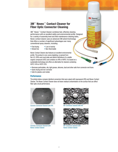## **3M**™ **Novec**™ **Contact Cleaner for Fiber Optic Connector Cleaning**

3M™ Novec™ Contact Cleaner combines fast, effective cleaning performance with an excellent safety and environmental profile. Designed for a variety of assembly level and field maintenance cleaning tasks, Novec contact cleaner uses an advanced 3M solvent technology that offers a number of significant advantages over many conventional spray cleaners, including:

- Fast drying Low in toxicity
- Streak free Non-flammable

Novec Contact Cleaner also features an excellent environmental profile. The product is non-ozone depleting, is exempt from the U.S. EPA's and most state and district definitions of a volatile organic compound (VOC) and contains no nPB or HAPS. It is based on a sustainable technology and offers an alternative for cleaners containing HCFC-141b or HCFC-225.

- Removes particulates, oils, light grease, silicones, dust and other soils from connector end faces
- Quick drying and non-corrosive
- Safe for plastics and metals

#### **Performance**

The photos below compare identical connectors that were wiped with isopropanol (IPA) and Novec Contact Cleaner. The Novec Contact Cleaner does not leave residual contamination on the surface that can affect fiber optic circuit performance.



Ceramic Connector Cleaned with IPA



Ceramic Connector Cleaned with Novec Contact Cleaner



**3M** Novec Contact Cleane

**King** 

MT Connector Cleaned with IPA



MT Connector Cleaned with Novec Contact Cleaner